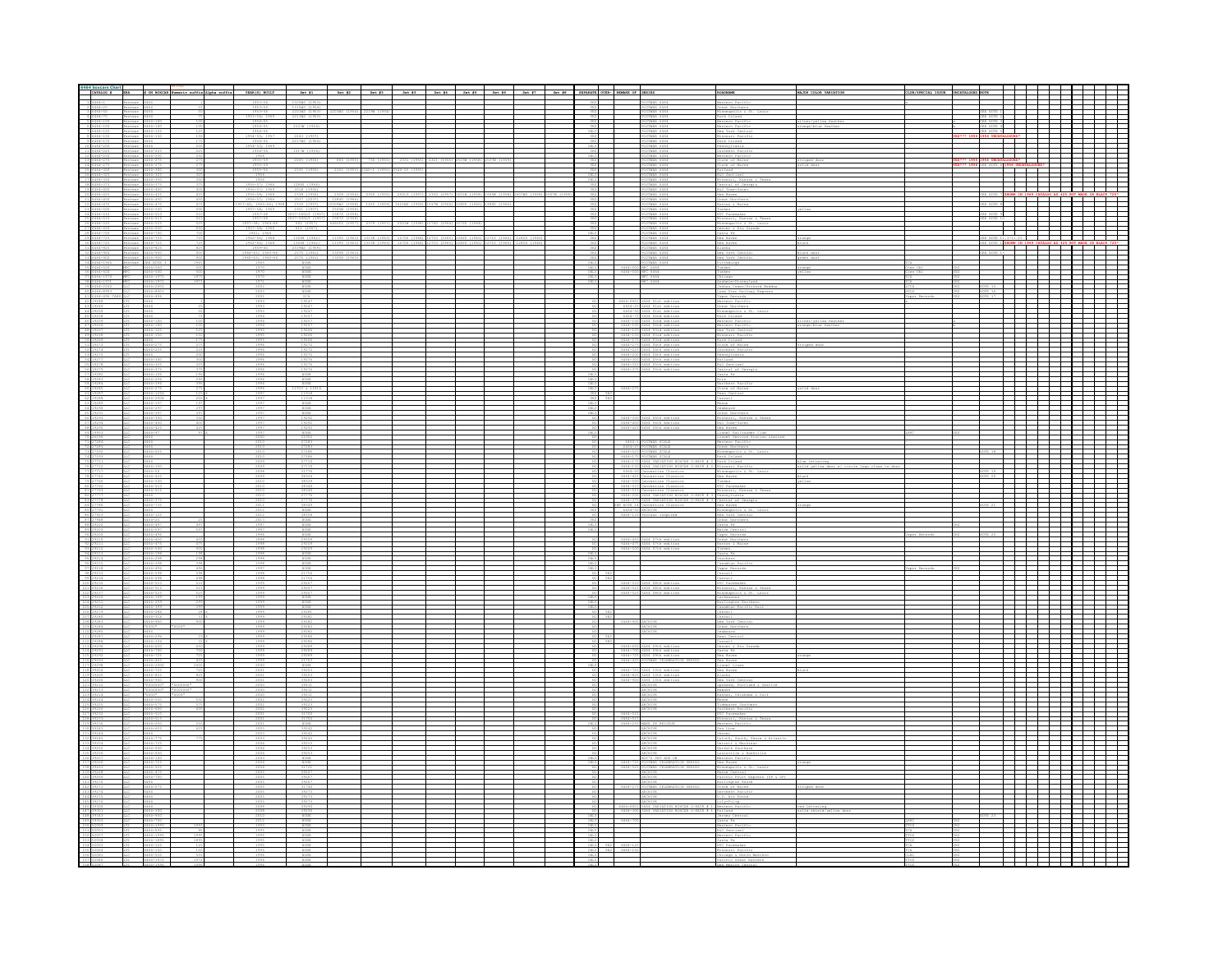|  |  |              |  |  |  |  |                           | Great North   |  |         |  |  |
|--|--|--------------|--|--|--|--|---------------------------|---------------|--|---------|--|--|
|  |  |              |  |  |  |  | STWAR 646-                |               |  | RTON RD |  |  |
|  |  |              |  |  |  |  |                           |               |  |         |  |  |
|  |  |              |  |  |  |  |                           |               |  |         |  |  |
|  |  |              |  |  |  |  |                           |               |  |         |  |  |
|  |  |              |  |  |  |  | STEAR 6464<br>STMAR 6464  |               |  |         |  |  |
|  |  |              |  |  |  |  | THAR 646                  |               |  |         |  |  |
|  |  |              |  |  |  |  | POSTMAR 6464              | Rutland       |  |         |  |  |
|  |  |              |  |  |  |  |                           |               |  |         |  |  |
|  |  |              |  |  |  |  | STEAR 6464                |               |  |         |  |  |
|  |  |              |  |  |  |  |                           |               |  |         |  |  |
|  |  |              |  |  |  |  | STEAR 6464                |               |  |         |  |  |
|  |  |              |  |  |  |  |                           |               |  |         |  |  |
|  |  |              |  |  |  |  | STEAR 646<br>DSTMAR 6464  |               |  |         |  |  |
|  |  |              |  |  |  |  |                           |               |  |         |  |  |
|  |  |              |  |  |  |  |                           |               |  |         |  |  |
|  |  |              |  |  |  |  |                           |               |  |         |  |  |
|  |  |              |  |  |  |  |                           |               |  |         |  |  |
|  |  |              |  |  |  |  |                           |               |  |         |  |  |
|  |  |              |  |  |  |  |                           |               |  |         |  |  |
|  |  | NONE<br>NONE |  |  |  |  |                           |               |  |         |  |  |
|  |  |              |  |  |  |  |                           |               |  |         |  |  |
|  |  |              |  |  |  |  |                           |               |  |         |  |  |
|  |  |              |  |  |  |  |                           |               |  |         |  |  |
|  |  |              |  |  |  |  |                           |               |  |         |  |  |
|  |  |              |  |  |  |  |                           |               |  |         |  |  |
|  |  |              |  |  |  |  |                           |               |  |         |  |  |
|  |  |              |  |  |  |  |                           |               |  |         |  |  |
|  |  |              |  |  |  |  | 64 O4th editio<br>6464-22 | outhern Paci  |  |         |  |  |
|  |  |              |  |  |  |  |                           |               |  |         |  |  |
|  |  |              |  |  |  |  |                           |               |  |         |  |  |
|  |  |              |  |  |  |  |                           |               |  |         |  |  |
|  |  |              |  |  |  |  |                           |               |  |         |  |  |
|  |  |              |  |  |  |  |                           |               |  |         |  |  |
|  |  |              |  |  |  |  |                           |               |  |         |  |  |
|  |  |              |  |  |  |  |                           |               |  |         |  |  |
|  |  |              |  |  |  |  |                           |               |  |         |  |  |
|  |  |              |  |  |  |  |                           |               |  |         |  |  |
|  |  |              |  |  |  |  |                           |               |  |         |  |  |
|  |  |              |  |  |  |  |                           |               |  |         |  |  |
|  |  |              |  |  |  |  |                           |               |  |         |  |  |
|  |  |              |  |  |  |  |                           |               |  |         |  |  |
|  |  |              |  |  |  |  |                           |               |  |         |  |  |
|  |  |              |  |  |  |  |                           |               |  |         |  |  |
|  |  |              |  |  |  |  |                           |               |  |         |  |  |
|  |  |              |  |  |  |  |                           |               |  |         |  |  |
|  |  |              |  |  |  |  |                           |               |  |         |  |  |
|  |  |              |  |  |  |  |                           |               |  |         |  |  |
|  |  |              |  |  |  |  |                           |               |  |         |  |  |
|  |  |              |  |  |  |  |                           |               |  |         |  |  |
|  |  |              |  |  |  |  |                           |               |  |         |  |  |
|  |  |              |  |  |  |  |                           | aton & M      |  |         |  |  |
|  |  |              |  |  |  |  |                           |               |  |         |  |  |
|  |  |              |  |  |  |  |                           | Canadian Paci |  |         |  |  |
|  |  |              |  |  |  |  |                           |               |  |         |  |  |
|  |  |              |  |  |  |  |                           |               |  |         |  |  |
|  |  |              |  |  |  |  |                           |               |  |         |  |  |
|  |  |              |  |  |  |  |                           |               |  |         |  |  |
|  |  | NONE         |  |  |  |  |                           | Sanadian Pr   |  |         |  |  |
|  |  | 29281        |  |  |  |  |                           |               |  |         |  |  |
|  |  |              |  |  |  |  |                           |               |  |         |  |  |
|  |  |              |  |  |  |  |                           |               |  |         |  |  |
|  |  |              |  |  |  |  |                           |               |  |         |  |  |
|  |  |              |  |  |  |  |                           |               |  |         |  |  |
|  |  |              |  |  |  |  |                           |               |  |         |  |  |
|  |  |              |  |  |  |  |                           |               |  |         |  |  |
|  |  |              |  |  |  |  |                           |               |  |         |  |  |
|  |  |              |  |  |  |  |                           |               |  |         |  |  |
|  |  |              |  |  |  |  |                           |               |  |         |  |  |
|  |  |              |  |  |  |  |                           |               |  |         |  |  |
|  |  |              |  |  |  |  |                           |               |  |         |  |  |
|  |  |              |  |  |  |  |                           |               |  |         |  |  |
|  |  |              |  |  |  |  |                           |               |  |         |  |  |
|  |  |              |  |  |  |  |                           |               |  |         |  |  |
|  |  |              |  |  |  |  |                           |               |  |         |  |  |
|  |  |              |  |  |  |  |                           |               |  |         |  |  |
|  |  |              |  |  |  |  |                           | lew Rayer     |  |         |  |  |
|  |  |              |  |  |  |  |                           |               |  |         |  |  |
|  |  |              |  |  |  |  |                           |               |  |         |  |  |
|  |  |              |  |  |  |  |                           |               |  |         |  |  |
|  |  |              |  |  |  |  |                           |               |  |         |  |  |
|  |  |              |  |  |  |  |                           |               |  |         |  |  |
|  |  |              |  |  |  |  |                           |               |  |         |  |  |
|  |  |              |  |  |  |  |                           |               |  |         |  |  |
|  |  |              |  |  |  |  |                           |               |  |         |  |  |
|  |  |              |  |  |  |  |                           |               |  |         |  |  |
|  |  |              |  |  |  |  |                           |               |  |         |  |  |